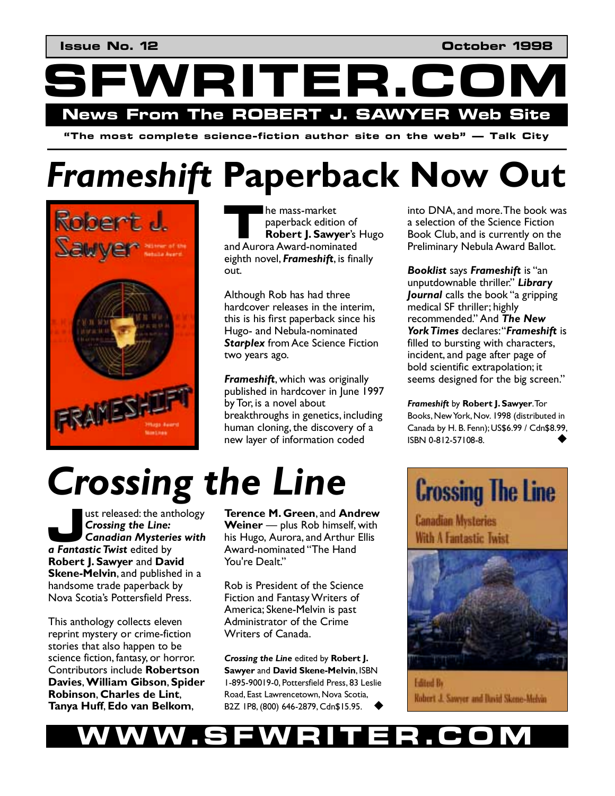WRITER.CC **News From The ROBERT J. SAWYER Web Site** 

**"The most complete science-fiction author site on the web" — Talk City** 

## *Frameshift* **Paperback Now Out**



he mass-market paperback edition of **Robert J. Sawyer**ís Hugo **Example 18 mass-market**<br> **Robert J. Sawyer's**<br> **Robert J. Sawyer's**<br> **Robert J. Sawyer's** eighth novel, *Frameshift*, is finally out.

Although Rob has had three hardcover releases in the interim, this is his first paperback since his Hugo- and Nebula-nominated *Starplex* from Ace Science Fiction two years ago.

*Frameshift*, which was originally published in hardcover in June 1997 by Tor, is a novel about breakthroughs in genetics, including human cloning, the discovery of a new layer of information coded

# *Crossing the Line*

ust released: the anthology *Crossing the Line: Canadian Mysteries with*  ust released: the ant<br> **Crossing the Line:**<br> **Canadian Mysterie<br>
<b>a Fantastic Twist** edited by **Robert J. Sawyer** and **David Skene-Melvin**, and published in a handsome trade paperback by Nova Scotiaís Pottersfield Press.

This anthology collects eleven reprint mystery or crime-fiction stories that also happen to be science fiction, fantasy, or horror. Contributors include **Robertson Davies**, **William Gibson**, **Spider Robinson**, **Charles de Lint**, **Tanya Huff**, **Edo van Belkom**,

**Terence M. Green**, and **Andrew Weiner** – plus Rob himself, with his Hugo, Aurora, and Arthur Ellis Award-nominated "The Hand You're Dealt."

Rob is President of the Science Fiction and Fantasy Writers of America; Skene-Melvin is past Administrator of the Crime Writers of Canada.

*Crossing the Line* edited by **Robert J. Sawyer** and **David Skene-Melvin**, ISBN 1-895-90019-0, Pottersfield Press, 83 Leslie Road, East Lawrencetown, Nova Scotia, B2Z 1P8, (800) 646-2879, Cdn\$15.95. !

into DNA, and more. The book was a selection of the Science Fiction Book Club, and is currently on the Preliminary Nebula Award Ballot.

**Booklist** says **Frameshift** is "an unputdownable thriller.î *Library Journal* calls the book "a gripping medical SF thriller; highly recommended.î And *The New*  York Times declares: "Frameshift is filled to bursting with characters, incident, and page after page of bold scientific extrapolation; it seems designed for the big screen."

*Frameshift* by **Robert J. Sawyer**. Tor Books, New York, Nov. 1998 (distributed in Canada by H. B. Fenn); US\$6.99 / Cdn\$8.99, ISBN 0-812-57108-8. !

## **Crossing The Line**

**Canadian Mysteries** With A Fantastic Twist



**Edited By** Robert J. Sawyer and Bavid Skene-Melvin

#### **WWW.SFWRITER.COM**